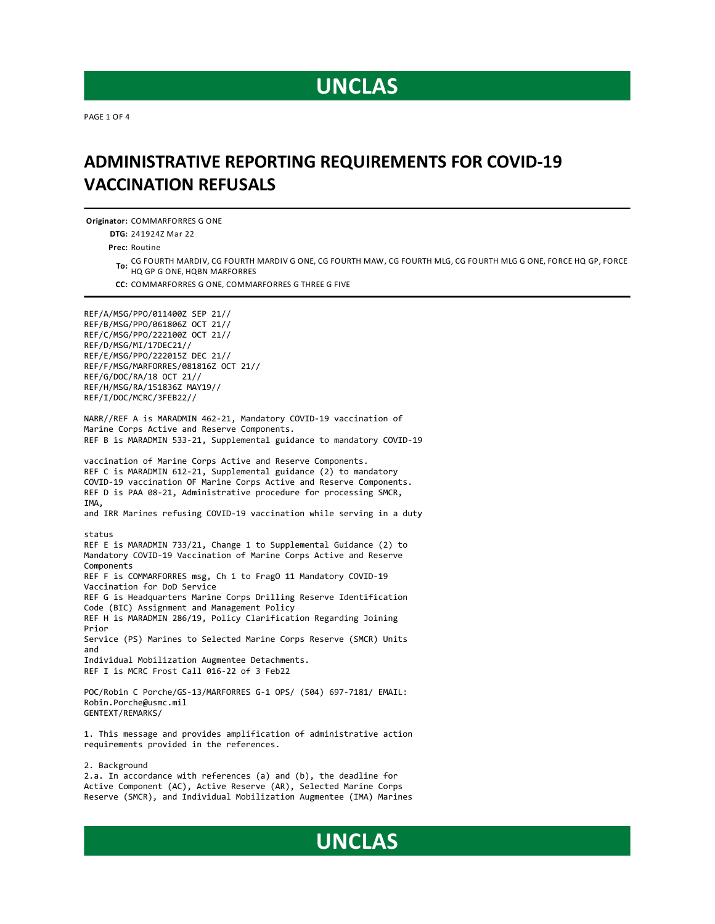PAGE 1 OF 4

#### **ADMINISTRATIVE REPORTING REQUIREMENTSFOR COVID-19 VACCINATION REFUSALS**

**Originator:** COMMARFORRES G ONE

**DTG:** 241924Z Mar 22

**Prec:** Routine

**To:** CG FOURTH MARDIV, CG FOURTH MARDIV G ONE, CG FOURTH MAW, CG FOURTH MLG, CG FOURTH MLG G ONE, FORCE HQ GP, FORCE HQ GP G ONE, HQBN MARFORRES

**CC:** COMMARFORRES G ONE, COMMARFORRES G THREE G FIVE

REF/A/MSG/PPO/011400Z SEP 21// REF/B/MSG/PPO/061806Z OCT 21// REF/C/MSG/PPO/222100Z OCT 21// REF/D/MSG/MI/17DEC21// REF/E/MSG/PPO/222015Z DEC 21// REF/F/MSG/MARFORRES/081816Z OCT 21// REF/G/DOC/RA/18 OCT 21// REF/H/MSG/RA/151836Z MAY19// REF/I/DOC/MCRC/3FEB22//

NARR//REF A is MARADMIN 462-21, Mandatory COVID-19 vaccination of Marine Corps Active and Reserve Components. REF B is MARADMIN 533-21, Supplemental guidance to mandatory COVID-19

vaccination of Marine Corps Active and Reserve Components. REF C is MARADMIN 612-21, Supplemental guidance (2) to mandatory COVID-19 vaccination OF Marine Corps Active and Reserve Components. REF D is PAA 08-21, Administrative procedure for processing SMCR, IMA, and IRR Marines refusing COVID-19 vaccination while serving in a duty status REF E is MARADMIN 733/21, Change 1 to Supplemental Guidance (2) to Mandatory COVID-19 Vaccination of Marine Corps Active and Reserve Components REF F is COMMARFORRES msg, Ch 1 to FragO 11 Mandatory COVID-19 Vaccination for DoD Service REF G is Headquarters Marine Corps Drilling Reserve Identification Code (BIC) Assignment and Management Policy REF H is MARADMIN 286/19, Policy Clarification Regarding Joining Prior Service (PS) Marines to Selected Marine Corps Reserve (SMCR) Units and Individual Mobilization Augmentee Detachments. REF I is MCRC Frost Call 016-22 of 3 Feb22 POC/Robin C Porche/GS-13/MARFORRES G-1 OPS/ (504) 697-7181/ EMAIL: Robin.Porche@usmc.mil

GENTEXT/REMARKS/ 1. This message and provides amplification of administrative action

requirements provided in the references.

2. Background 2.a. In accordance with references (a) and (b), the deadline for Active Component (AC), Active Reserve (AR), Selected Marine Corps Reserve (SMCR), and Individual Mobilization Augmentee (IMA) Marines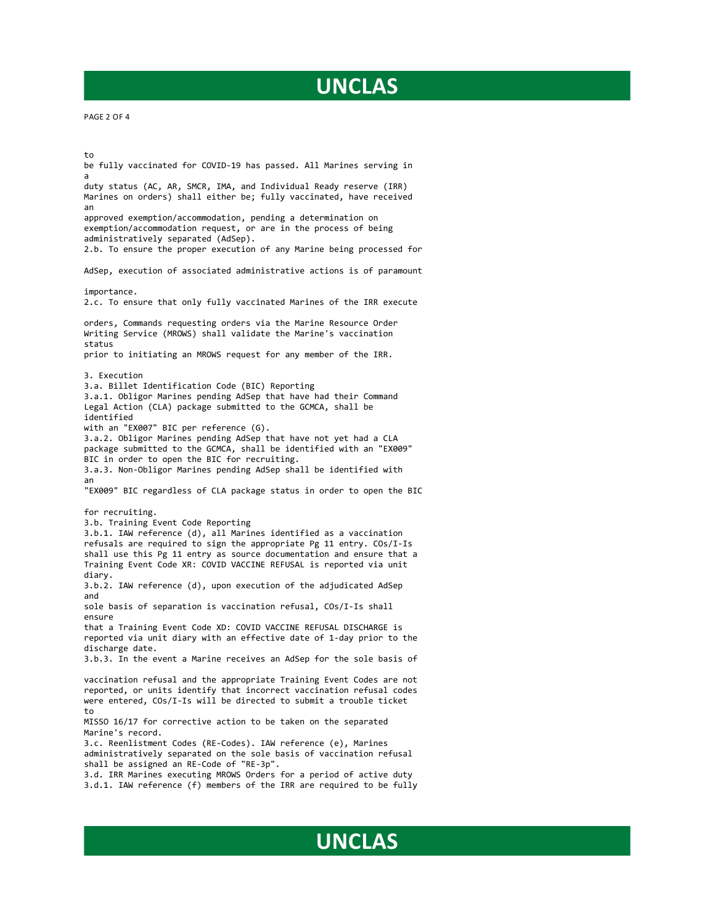PAGE 2 OF 4

to be fully vaccinated for COVID-19 has passed. All Marines serving in a duty status (AC, AR, SMCR, IMA, and Individual Ready reserve (IRR) Marines on orders) shall either be; fully vaccinated, have received an approved exemption/accommodation, pending a determination on exemption/accommodation request, or are in the process of being administratively separated (AdSep). 2.b. To ensure the proper execution of any Marine being processed for AdSep, execution of associated administrative actions is of paramount importance. 2.c. To ensure that only fully vaccinated Marines of the IRR execute orders, Commands requesting orders via the Marine Resource Order Writing Service (MROWS) shall validate the Marine's vaccination status prior to initiating an MROWS request for any member of the IRR. 3. Execution 3.a. Billet Identification Code (BIC) Reporting 3.a.1. Obligor Marines pending AdSep that have had their Command Legal Action (CLA) package submitted to the GCMCA, shall be identified with an "EX007" BIC per reference (G). 3.a.2. Obligor Marines pending AdSep that have not yet had a CLA package submitted to the GCMCA, shall be identified with an "EX009" BIC in order to open the BIC for recruiting. 3.a.3. Non-Obligor Marines pending AdSep shall be identified with an "EX009" BIC regardless of CLA package status in order to open the BIC for recruiting. 3.b. Training Event Code Reporting 3.b.1. IAW reference (d), all Marines identified as a vaccination refusals are required to sign the appropriate Pg 11 entry. COs/I-Is shall use this Pg 11 entry as source documentation and ensure that a Training Event Code XR: COVID VACCINE REFUSAL is reported via unit diary. 3.b.2. IAW reference (d), upon execution of the adjudicated AdSep and sole basis of separation is vaccination refusal, COs/I-Is shall ensure that a Training Event Code XD: COVID VACCINE REFUSAL DISCHARGE is reported via unit diary with an effective date of 1-day prior to the discharge date. 3.b.3. In the event a Marine receives an AdSep for the sole basis of vaccination refusal and the appropriate Training Event Codes are not reported, or units identify that incorrect vaccination refusal codes were entered, COs/I-Is will be directed to submit a trouble ticket to MISSO 16/17 for corrective action to be taken on the separated Marine's record. 3.c. Reenlistment Codes (RE-Codes). IAW reference (e), Marines administratively separated on the sole basis of vaccination refusal shall be assigned an RE-Code of "RE-3p". 3.d. IRR Marines executing MROWS Orders for a period of active duty 3.d.1. IAW reference (f) members of the IRR are required to be fully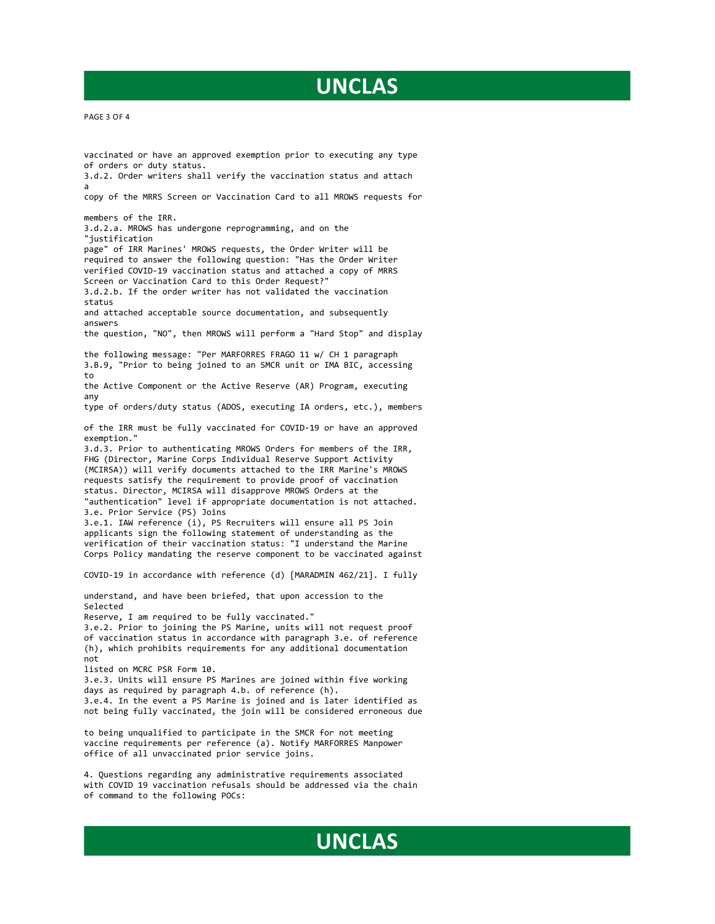of orders or duty status. 3.d.2. Order writers shall verify the vaccination status and attach a copy of the MRRS Screen or Vaccination Card to all MROWS requests for members of the IRR. 3.d.2.a. MROWS has undergone reprogramming, and on the "justification page" of IRR Marines' MROWS requests, the Order Writer will be required to answer the following question: "Has the Order Writer verified COVID-19 vaccination status and attached a copy of MRRS Screen or Vaccination Card to this Order Request?" 3.d.2.b. If the order writer has not validated the vaccination status and attached acceptable source documentation, and subsequently answers the question, "NO", then MROWS will perform a "Hard Stop" and display the following message: "Per MARFORRES FRAGO 11 w/ CH 1 paragraph 3.B.9, "Prior to being joined to an SMCR unit or IMA BIC, accessing to the Active Component or the Active Reserve (AR) Program, executing any type of orders/duty status (ADOS, executing IA orders, etc.), members of the IRR must be fully vaccinated for COVID-19 or have an approved exemption." 3.d.3. Prior to authenticating MROWS Orders for members of the IRR, FHG (Director, Marine Corps Individual Reserve Support Activity (MCIRSA)) will verify documents attached to the IRR Marine's MROWS requests satisfy the requirement to provide proof of vaccination status. Director, MCIRSA will disapprove MROWS Orders at the "authentication" level if appropriate documentation is not attached. 3.e. Prior Service (PS) Joins 3.e.1. IAW reference (i), PS Recruiters will ensure all PS Join applicants sign the following statement of understanding as the verification of their vaccination status: "I understand the Marine Corps Policy mandating the reserve component to be vaccinated against COVID-19 in accordance with reference (d) [MARADMIN 462/21]. I fully understand, and have been briefed, that upon accession to the Selected Reserve, I am required to be fully vaccinated." 3.e.2. Prior to joining the PS Marine, units will not request proof of vaccination status in accordance with paragraph 3.e. of reference (h), which prohibits requirements for any additional documentation not listed on MCRC PSR Form 10. 3.e.3. Units will ensure PS Marines are joined within five working days as required by paragraph 4.b. of reference (h). 3.e.4. In the event a PS Marine is joined and is later identified as not being fully vaccinated, the join will be considered erroneous due to being unqualified to participate in the SMCR for not meeting vaccine requirements per reference (a). Notify MARFORRES Manpower office of all unvaccinated prior service joins.

vaccinated or have an approved exemption prior to executing any type

4. Questions regarding any administrative requirements associated with COVID 19 vaccination refusals should be addressed via the chain of command to the following POCs: